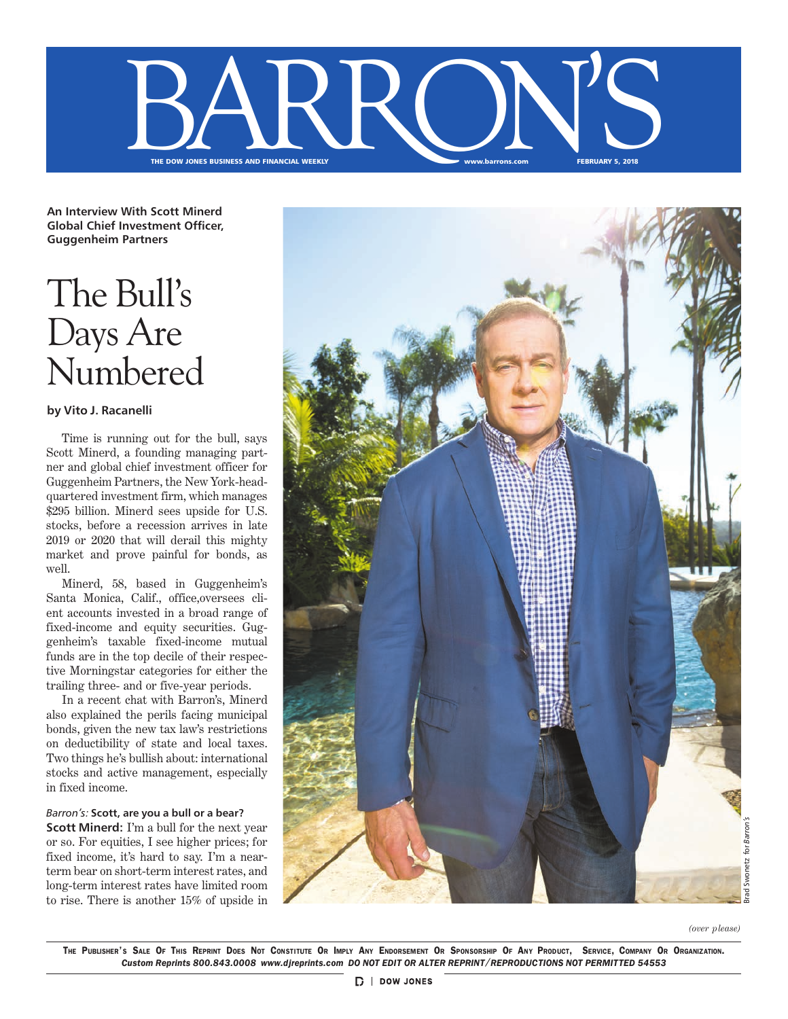

**An Interview With Scott Minerd An Interview With Scott Minerd An Interview With Scott Minerd Global chief investment officer, Global chief investment officer, Global Chief Investment Officer, Guggenheim Partners Guggenheim Partners Guggenheim Partners**

# The Bull's The Bull's Days Are Days Are Numbered Numbered

# **by Vito J. Racanelli by Vito J. Racanelli**

Time is running out for the bull, says Scott Minerd, a founding managing partner and global chief investment officer for Guggenheim Partners, the New York-headquartered investment firm, which manages \$295 billion. Minerd sees upside for U.S. stocks, before a recession arrives in late 2019 or 2020 that will derail this mighty market and prove painful for bonds, as well.

Minerd, 58, based in Guggenheim's Santa Monica, Calif., office,oversees client accounts invested in a broad range of fixed-income and equity securities. Guggenheim's taxable fixed-income mutual funds are in the top decile of their respective Morningstar categories for either the trailing three- and or five-year periods.

In a recent chat with Barron's, Minerd also explained the perils facing municipal bonds, given the new tax law's restrictions on deductibility of state and local taxes. Two things he's bullish about: international stocks and active management, especially in fixed income.

# *Barron's:* **Scott, are you a bull or a bear?**

**Scott Minerd:** I'm a bull for the next year or so. For equities, I see higher prices; for fixed income, it's hard to say. I'm a nearterm bear on short-term interest rates, and long-term interest rates have limited room to rise. There is another 15% of upside in



*(over p lease)*

The Publisher's Sale Of This Reprint Does Not Constitute Or Imply Any Endorsement Or Sponsorship Of Any Product, Service, Company Or Organization. *Custom Reprints 800.843.0008 www.djreprints.com DO NOT EDIT OR ALTER REPRINT/REPRODUCTIONS NOT PERMITTED 54553*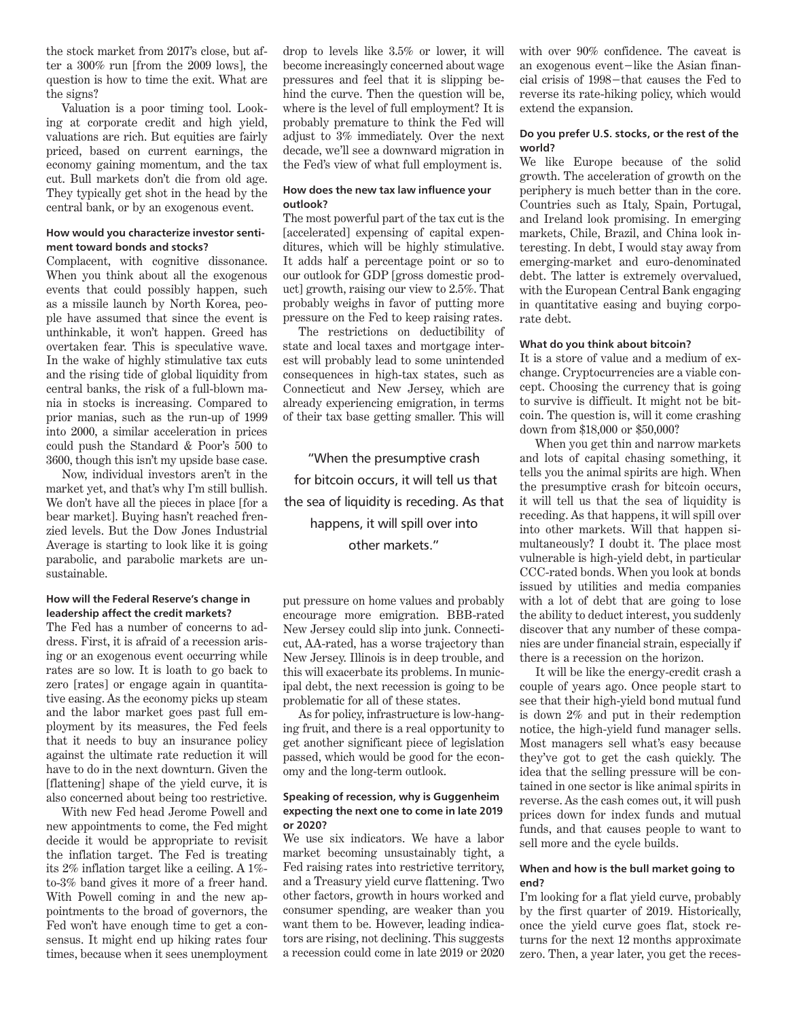the stock market from 2017's close, but after a 300% run [from the 2009 lows], the question is how to time the exit. What are the signs?

Valuation is a poor timing tool. Looking at corporate credit and high yield, valuations are rich. But equities are fairly priced, based on current earnings, the economy gaining momentum, and the tax cut. Bull markets don't die from old age. They typically get shot in the head by the central bank, or by an exogenous event.

# **How would you characterize investor sentiment toward bonds and stocks?**

Complacent, with cognitive dissonance. When you think about all the exogenous events that could possibly happen, such as a missile launch by North Korea, people have assumed that since the event is unthinkable, it won't happen. Greed has overtaken fear. This is speculative wave. In the wake of highly stimulative tax cuts and the rising tide of global liquidity from central banks, the risk of a full-blown mania in stocks is increasing. Compared to prior manias, such as the run-up of 1999 into 2000, a similar acceleration in prices could push the Standard & Poor's 500 to 3600, though this isn't my upside base case.

Now, individual investors aren't in the market yet, and that's why I'm still bullish. We don't have all the pieces in place [for a bear market]. Buying hasn't reached frenzied levels. But the Dow Jones Industrial Average is starting to look like it is going parabolic, and parabolic markets are unsustainable.

#### **How will the Federal Reserve's change in leadership affect the credit markets?**

The Fed has a number of concerns to address. First, it is afraid of a recession arising or an exogenous event occurring while rates are so low. It is loath to go back to zero [rates] or engage again in quantitative easing. As the economy picks up steam and the labor market goes past full employment by its measures, the Fed feels that it needs to buy an insurance policy against the ultimate rate reduction it will have to do in the next downturn. Given the [flattening] shape of the yield curve, it is also concerned about being too restrictive.

With new Fed head Jerome Powell and new appointments to come, the Fed might decide it would be appropriate to revisit the inflation target. The Fed is treating its 2% inflation target like a ceiling. A 1% to-3% band gives it more of a freer hand. With Powell coming in and the new appointments to the broad of governors, the Fed won't have enough time to get a consensus. It might end up hiking rates four times, because when it sees unemployment

drop to levels like 3.5% or lower, it will become increasingly concerned about wage pressures and feel that it is slipping behind the curve. Then the question will be, where is the level of full employment? It is probably premature to think the Fed will adjust to 3% immediately. Over the next decade, we'll see a downward migration in the Fed's view of what full employment is.

# **How does the new tax law influence your outlook?**

The most powerful part of the tax cut is the [accelerated] expensing of capital expenditures, which will be highly stimulative. It adds half a percentage point or so to our outlook for GDP [gross domestic product] growth, raising our view to 2.5%. That probably weighs in favor of putting more pressure on the Fed to keep raising rates.

The restrictions on deductibility of state and local taxes and mortgage interest will probably lead to some unintended consequences in high-tax states, such as Connecticut and New Jersey, which are already experiencing emigration, in terms of their tax base getting smaller. This will

"When the presumptive crash for bitcoin occurs, it will tell us that the sea of liquidity is receding. As that happens, it will spill over into other markets."

put pressure on home values and probably  $\frac{1}{2}$  encourage more emigration. BBB-rated New Jersey could slip into junk. Connecticut, AA-rated, has a worse trajectory than New Jersey. Illinois is in deep trouble, and this will exacerbate its problems. In municipal debt, the next recession is going to be problematic for all of these states.

As for policy, infrastructure is low-hanging fruit, and there is a real opportunity to get another significant piece of legislation passed, which would be good for the economy and the long-term outlook.

#### **Speaking of recession, why is Guggenheim expecting the next one to come in late 2019 or 2020?**

We use six indicators. We have a labor market becoming unsustainably tight, a Fed raising rates into restrictive territory, and a Treasury yield curve flattening. Two other factors, growth in hours worked and consumer spending, are weaker than you want them to be. However, leading indicators are rising, not declining. This suggests a recession could come in late 2019 or 2020

with over 90% confidence. The caveat is an exogenous event—like the Asian financial crisis of 1998—that causes the Fed to reverse its rate-hiking policy, which would extend the expansion.

# **Do you prefer U.S. stocks, or the rest of the world?**

We like Europe because of the solid growth. The acceleration of growth on the periphery is much better than in the core. Countries such as Italy, Spain, Portugal, and Ireland look promising. In emerging markets, Chile, Brazil, and China look interesting. In debt, I would stay away from emerging-market and euro-denominated debt. The latter is extremely overvalued, with the European Central Bank engaging in quantitative easing and buying corporate debt.

# **What do you think about bitcoin?**

It is a store of value and a medium of exchange. Cryptocurrencies are a viable concept. Choosing the currency that is going to survive is difficult. It might not be bitcoin. The question is, will it come crashing down from \$18,000 or \$50,000?

When you get thin and narrow markets and lots of capital chasing something, it tells you the animal spirits are high. When the presumptive crash for bitcoin occurs, it will tell us that the sea of liquidity is receding. As that happens, it will spill over into other markets. Will that happen simultaneously? I doubt it. The place most vulnerable is high-yield debt, in particular CCC-rated bonds. When you look at bonds issued by utilities and media companies with a lot of debt that are going to lose the ability to deduct interest, you suddenly discover that any number of these companies are under financial strain, especially if there is a recession on the horizon.

It will be like the energy-credit crash a couple of years ago. Once people start to see that their high-yield bond mutual fund is down 2% and put in their redemption notice, the high-yield fund manager sells. Most managers sell what's easy because they've got to get the cash quickly. The idea that the selling pressure will be contained in one sector is like animal spirits in reverse. As the cash comes out, it will push prices down for index funds and mutual funds, and that causes people to want to sell more and the cycle builds.

#### **When and how is the bull market going to end?**

I'm looking for a flat yield curve, probably by the first quarter of 2019. Historically, once the yield curve goes flat, stock returns for the next 12 months approximate zero. Then, a year later, you get the reces